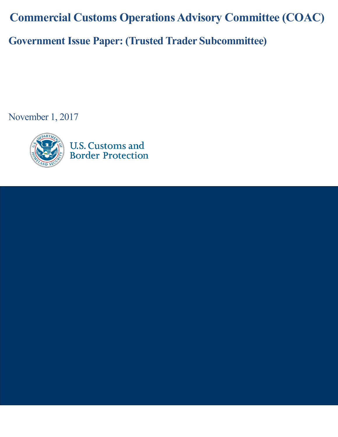**Commercial Customs Operations Advisory Committee (COAC) Government Issue Paper: (Trusted Trader Subcommittee)**

November 1, 2017

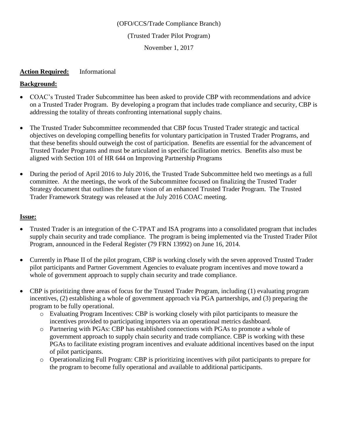#### (OFO/CCS/Trade Compliance Branch)

### (Trusted Trader Pilot Program)

November 1, 2017

### **Action Required:** Informational

## **Background:**

- COAC's Trusted Trader Subcommittee has been asked to provide CBP with recommendations and advice on a Trusted Trader Program. By developing a program that includes trade compliance and security, CBP is addressing the totality of threats confronting international supply chains.
- The Trusted Trader Subcommittee recommended that CBP focus Trusted Trader strategic and tactical objectives on developing compelling benefits for voluntary participation in Trusted Trader Programs, and that these benefits should outweigh the cost of participation. Benefits are essential for the advancement of Trusted Trader Programs and must be articulated in specific facilitation metrics. Benefits also must be aligned with Section 101 of HR 644 on Improving Partnership Programs
- During the period of April 2016 to July 2016, the Trusted Trade Subcommittee held two meetings as a full committee. At the meetings, the work of the Subcommittee focused on finalizing the Trusted Trader Strategy document that outlines the future vison of an enhanced Trusted Trader Program. The Trusted Trader Framework Strategy was released at the July 2016 COAC meeting.

### **Issue:**

- Trusted Trader is an integration of the C-TPAT and ISA programs into a consolidated program that includes supply chain security and trade compliance. The program is being implemented via the Trusted Trader Pilot Program, announced in the Federal Register (79 FRN 13992) on June 16, 2014.
- Currently in Phase II of the pilot program, CBP is working closely with the seven approved Trusted Trader pilot participants and Partner Government Agencies to evaluate program incentives and move toward a whole of government approach to supply chain security and trade compliance.
- CBP is prioritizing three areas of focus for the Trusted Trader Program, including (1) evaluating program incentives, (2) establishing a whole of government approach via PGA partnerships, and (3) preparing the program to be fully operational.
	- o Evaluating Program Incentives: CBP is working closely with pilot participants to measure the incentives provided to participating importers via an operational metrics dashboard.
	- o Partnering with PGAs: CBP has established connections with PGAs to promote a whole of government approach to supply chain security and trade compliance. CBP is working with these PGAs to facilitate existing program incentives and evaluate additional incentives based on the input of pilot participants.
	- o Operationalizing Full Program: CBP is prioritizing incentives with pilot participants to prepare for the program to become fully operational and available to additional participants.